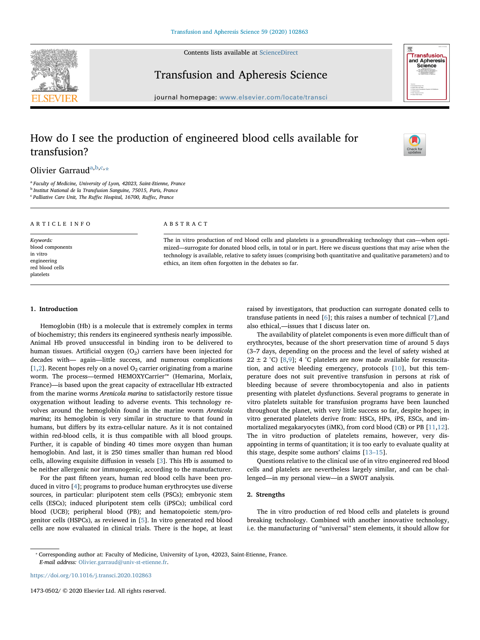Contents lists available at [ScienceDirect](http://www.sciencedirect.com/science/journal/14730502)



Transfusion and Apheresis Science



journal homepage: [www.elsevier.com/locate/transci](https://www.elsevier.com/locate/transci)

# How do I see the production of engineered blood cells available for transfusion?



Olivier Garraud<sup>[a,](#page-0-0)[b](#page-0-1)[,c](#page-0-2),[\\*](#page-0-3)</sup>

<span id="page-0-0"></span><sup>a</sup> Faculty of Medicine, University of Lyon, 42023, Saint-Etienne, France

<span id="page-0-1"></span><sup>b</sup> Institut National de la Transfusion Sanguine, 75015, Paris, France

<span id="page-0-2"></span><sup>c</sup> Palliative Care Unit, The Ruffec Hospital, 16700, Ruffec, France

#### ARTICLE INFO

Keywords: blood components in vitro engineering red blood cells platelets

#### ABSTRACT

The in vitro production of red blood cells and platelets is a groundbreaking technology that can—when optimized—surrogate for donated blood cells, in total or in part. Here we discuss questions that may arise when the technology is available, relative to safety issues (comprising both quantitative and qualitative parameters) and to ethics, an item often forgotten in the debates so far.

## 1. Introduction

Hemoglobin (Hb) is a molecule that is extremely complex in terms of biochemistry; this renders its engineered synthesis nearly impossible. Animal Hb proved unsuccessful in binding iron to be delivered to human tissues. Artificial oxygen  $(O_2)$  carriers have been injected for decades with— again—little success, and numerous complications [[1](#page-2-0),[2](#page-2-1)]. Recent hopes rely on a novel  $O_2$  carrier originating from a marine worm. The process—termed HEMOXYCarrier™ (Hemarina, Morlaix, France)—is based upon the great capacity of extracellular Hb extracted from the marine worms Arenicola marina to satisfactorily restore tissue oxygenation without leading to adverse events. This technology revolves around the hemoglobin found in the marine worm Arenicola marina; its hemoglobin is very similar in structure to that found in humans, but differs by its extra-cellular nature. As it is not contained within red-blood cells, it is thus compatible with all blood groups. Further, it is capable of binding 40 times more oxygen than human hemoglobin. And last, it is 250 times smaller than human red blood cells, allowing exquisite diffusion in vessels [[3](#page-2-2)]. This Hb is assumed to be neither allergenic nor immunogenic, according to the manufacturer.

For the past fifteen years, human red blood cells have been produced in vitro [[4](#page-2-3)]; programs to produce human erythrocytes use diverse sources, in particular: pluripotent stem cells (PSCs); embryonic stem cells (ESCs); induced pluripotent stem cells (iPSCs); umbilical cord blood (UCB); peripheral blood (PB); and hematopoietic stem/progenitor cells (HSPCs), as reviewed in [\[5\]](#page-2-4). In vitro generated red blood cells are now evaluated in clinical trials. There is the hope, at least raised by investigators, that production can surrogate donated cells to transfuse patients in need [\[6\]](#page-2-5); this raises a number of technical [[7\]](#page-2-6),and also ethical,—issues that I discuss later on.

The availability of platelet components is even more difficult than of erythrocytes, because of the short preservation time of around 5 days (3–7 days, depending on the process and the level of safety wished at 22  $\pm$  2 °C) [\[8,](#page-2-7)[9](#page-2-8)]; 4 °C platelets are now made available for resuscitation, and active bleeding emergency, protocols [[10\]](#page-2-9), but this temperature does not suit preventive transfusion in persons at risk of bleeding because of severe thrombocytopenia and also in patients presenting with platelet dysfunctions. Several programs to generate in vitro platelets suitable for transfusion programs have been launched throughout the planet, with very little success so far, despite hopes; in vitro generated platelets derive from: HSCs, HPs, iPS, ESCs, and immortalized megakaryocytes (iMK), from cord blood (CB) or PB [[11,](#page-2-10)[12](#page-2-11)]. The in vitro production of platelets remains, however, very disappointing in terms of quantitation; it is too early to evaluate quality at this stage, despite some authors' claims [\[13](#page-2-12)–15].

Questions relative to the clinical use of in vitro engineered red blood cells and platelets are nevertheless largely similar, and can be challenged—in my personal view—in a SWOT analysis.

# 2. Strengths

The in vitro production of red blood cells and platelets is ground breaking technology. Combined with another innovative technology, i.e. the manufacturing of "universal" stem elements, it should allow for

<https://doi.org/10.1016/j.transci.2020.102863>

1473-0502/ © 2020 Elsevier Ltd. All rights reserved.

<span id="page-0-3"></span><sup>⁎</sup> Corresponding author at: Faculty of Medicine, University of Lyon, 42023, Saint-Etienne, France. E-mail address: [Olivier.garraud@univ-st-etienne.fr](mailto:Olivier.garraud@univ-st-etienne.fr).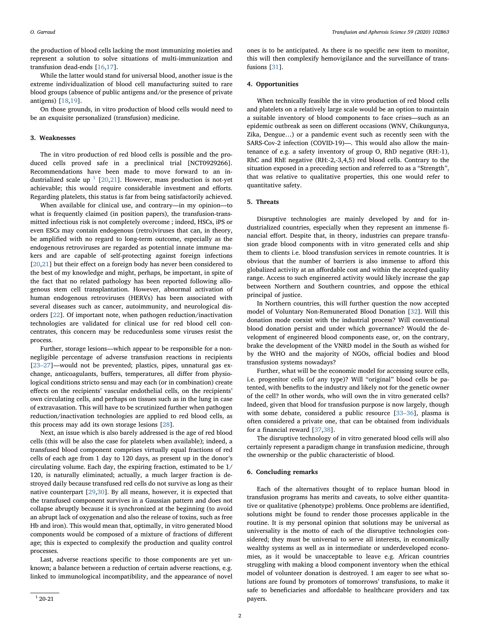the production of blood cells lacking the most immunizing moieties and represent a solution to solve situations of multi-immunization and transfusion dead-ends [[16](#page-2-13)[,17](#page-2-14)].

While the latter would stand for universal blood, another issue is the extreme individualization of blood cell manufacturing suited to rare blood groups (absence of public antigens and/or the presence of private antigens) [\[18](#page-2-15)[,19](#page-2-16)].

On those grounds, in vitro production of blood cells would need to be an exquisite personalized (transfusion) medicine.

#### 3. Weaknesses

The in vitro production of red blood cells is possible and the produced cells proved safe in a preclinical trial [NCT0929266]. Recommendations have been made to move forward to an industrialized scale up  $1$  [[20,](#page-2-17)[21\]](#page-2-18). However, mass production is not-yet achievable; this would require considerable investment and efforts. Regarding platelets, this status is far from being satisfactorily achieved.

When available for clinical use, and contrary—in my opinion—to what is frequently claimed (in position papers), the transfusion-transmitted infectious risk is not completely overcome ; indeed, HSCs, iPS or even ESCs may contain endogenous (retro)viruses that can, in theory, be amplified with no regard to long-term outcome, especially as the endogenous retroviruses are regarded as potential innate immune makers and are capable of self-protecting against foreign infections [[20](#page-2-17)[,21](#page-2-18)] but their effect on a foreign body has never been considered to the best of my knowledge and might, perhaps, be important, in spite of the fact that no related pathology has been reported following allogenous stem cell transplantation. However, abnormal activation of human endogenous retroviruses (HERVs) has been associated with several diseases such as cancer, autoimmunity, and neurological disorders [[22\]](#page-2-19). Of important note, when pathogen reduction/inactivation technologies are validated for clinical use for red blood cell concentrates, this concern may be reducedunless some viruses resist the process.

Further, storage lesions—which appear to be responsible for a nonnegligible percentage of adverse transfusion reactions in recipients [23–[27\]](#page-2-20)—would not be prevented; plastics, pipes, unnatural gas exchange, anticoagulants, buffers, temperatures, all differ from physiological conditions stricto sensu and may each (or in combination) create effects on the recipients' vascular endothelial cells, on the recipients' own circulating cells, and perhaps on tissues such as in the lung in case of extravasation. This will have to be scrutinized further when pathogen reduction/inactivation technologies are applied to red blood cells, as this process may add its own storage lesions [[28\]](#page-2-21).

Next, an issue which is also barely addressed is the age of red blood cells (this will be also the case for platelets when available); indeed, a transfused blood component comprises virtually equal fractions of red cells of each age from 1 day to 120 days, as present up in the donor's circulating volume. Each day, the expiring fraction, estimated to be 1/ 120, is naturally eliminated; actually, a much larger fraction is destroyed daily because transfused red cells do not survive as long as their native counterpart [[29,](#page-2-22)[30\]](#page-2-23). By all means, however, it is expected that the transfused component survives in a Gaussian pattern and does not collapse abruptly because it is synchronized at the beginning (to avoid an abrupt lack of oxygenation and also the release of toxins, such as free Hb and iron). This would mean that, optimally, in vitro generated blood components would be composed of a mixture of fractions of different age; this is expected to complexify the production and quality control processes.

<span id="page-1-0"></span>Last, adverse reactions specific to those components are yet unknown; a balance between a reduction of certain adverse reactions, e.g. linked to immunological incompatibility, and the appearance of novel

ones is to be anticipated. As there is no specific new item to monitor, this will then complexify hemovigilance and the surveillance of transfusions [\[31](#page-2-24)].

#### 4. Opportunities

When technically feasible the in vitro production of red blood cells and platelets on a relatively large scale would be an option to maintain a suitable inventory of blood components to face crises—such as an epidemic outbreak as seen on different occasions (WNV, Chikungunya, Zika, Dengue…) or a pandemic event such as recently seen with the SARS-Cov-2 infection (COVID-19)—. This would also allow the maintenance of e.g. a safety inventory of group O, RhD negative (RH:-1), RhC and RhE negative (RH:-2,-3,4,5) red blood cells. Contrary to the situation exposed in a preceding section and referred to as a "Strength", that was relative to qualitative properties, this one would refer to quantitative safety.

#### 5. Threats

Disruptive technologies are mainly developed by and for industrialized countries, especially when they represent an immense financial effort. Despite that, in theory, industries can prepare transfusion grade blood components with in vitro generated cells and ship them to clients i.e. blood transfusion services in remote countries. It is obvious that the number of barriers is also immense to afford this globalized activity at an affordable cost and within the accepted quality range. Access to such engineered activity would likely increase the gap between Northern and Southern countries, and oppose the ethical principal of justice.

In Northern countries, this will further question the now accepted model of Voluntary Non-Remunerated Blood Donation [\[32](#page-2-25)]. Will this donation mode coexist with the industrial process? Will conventional blood donation persist and under which governance? Would the development of engineered blood components ease, or, on the contrary, brake the development of the VNRD model in the South as wished for by the WHO and the majority of NGOs, official bodies and blood transfusion systems nowadays?

Further, what will be the economic model for accessing source cells, i.e. progenitor cells (of any type)? Will "original" blood cells be patented, with benefits to the industry and likely not for the genetic owner of the cell? In other words, who will own the in vitro generated cells? Indeed, given that blood for transfusion purpose is now largely, though with some debate, considered a public resource [33–[36\]](#page-2-26), plasma is often considered a private one, that can be obtained from individuals for a financial reward [\[37](#page-2-27)[,38](#page-2-28)].

The disruptive technology of in vitro generated blood cells will also certainly represent a paradigm change in transfusion medicine, through the ownership or the public characteristic of blood.

### 6. Concluding remarks

Each of the alternatives thought of to replace human blood in transfusion programs has merits and caveats, to solve either quantitative or qualitative (phenotype) problems. Once problems are identified, solutions might be found to render those processes applicable in the routine. It is my personal opinion that solutions may be universal as universality is the motto of each of the disruptive technologies considered; they must be universal to serve all interests, in economically wealthy systems as well as in intermediate or underdeveloped economies, as it would be unacceptable to leave e.g. African countries struggling with making a blood component inventory when the ethical model of volunteer donation is destroyed. I am eager to see what solutions are found by promotors of tomorrows' transfusions, to make it safe to beneficiaries and affordable to healthcare providers and tax  $1\,20-21$  payers.